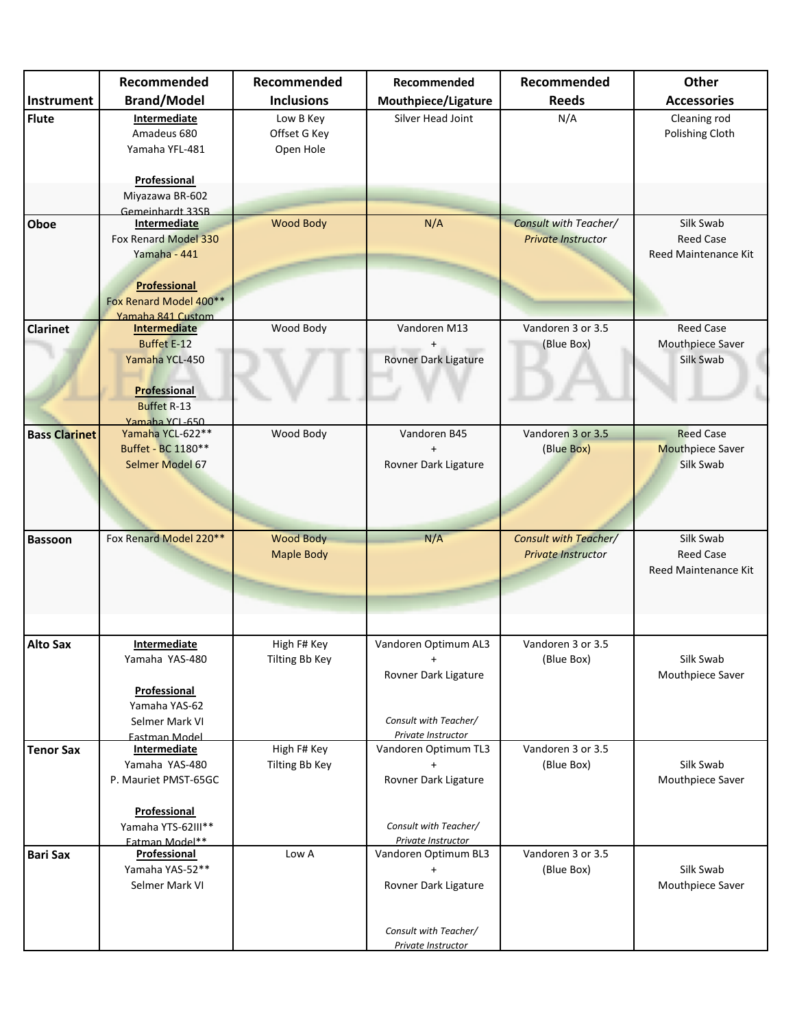|                      | Recommended                        | Recommended       | Recommended           | Recommended                  | Other                   |
|----------------------|------------------------------------|-------------------|-----------------------|------------------------------|-------------------------|
| Instrument           | <b>Brand/Model</b>                 | <b>Inclusions</b> | Mouthpiece/Ligature   | <b>Reeds</b>                 | <b>Accessories</b>      |
| <b>Flute</b>         | <b>Intermediate</b>                | Low B Key         | Silver Head Joint     | N/A                          | Cleaning rod            |
|                      | Amadeus 680                        | Offset G Key      |                       |                              | Polishing Cloth         |
|                      | Yamaha YFL-481                     | Open Hole         |                       |                              |                         |
|                      |                                    |                   |                       |                              |                         |
|                      | Professional                       |                   |                       |                              |                         |
|                      | Miyazawa BR-602                    |                   |                       |                              |                         |
|                      | Gemeinhardt 33SB                   |                   |                       |                              |                         |
| Oboe                 | <b>Intermediate</b>                | <b>Wood Body</b>  | N/A                   | Consult with Teacher/        | Silk Swab               |
|                      | Fox Renard Model 330               |                   |                       | <b>Private Instructor</b>    | <b>Reed Case</b>        |
|                      | Yamaha - 441                       |                   |                       |                              | Reed Maintenance Kit    |
|                      |                                    |                   |                       |                              |                         |
|                      | Professional                       |                   |                       |                              |                         |
|                      | Fox Renard Model 400**             |                   |                       |                              |                         |
|                      | Yamaha 841 Custom                  |                   |                       |                              |                         |
| <b>Clarinet</b>      | <b>Intermediate</b>                | Wood Body         | Vandoren M13          | Vandoren 3 or 3.5            | <b>Reed Case</b>        |
|                      | <b>Buffet E-12</b>                 |                   |                       | (Blue Box)                   | Mouthpiece Saver        |
|                      | Yamaha YCL-450                     |                   | Rovner Dark Ligature  |                              | Silk Swab               |
|                      |                                    |                   |                       |                              |                         |
|                      |                                    |                   |                       |                              |                         |
|                      | Professional                       |                   |                       |                              |                         |
|                      | <b>Buffet R-13</b>                 |                   |                       |                              |                         |
| <b>Bass Clarinet</b> | Yamaha YCL-650<br>Yamaha YCL-622** | Wood Body         | Vandoren B45          | Vandoren 3 or 3.5            | <b>Reed Case</b>        |
|                      | Buffet - BC 1180**                 |                   | $\ddot{}$             | (Blue Box)                   | <b>Mouthpiece Saver</b> |
|                      | Selmer Model 67                    |                   | Rovner Dark Ligature  |                              | Silk Swab               |
|                      |                                    |                   |                       |                              |                         |
|                      |                                    |                   |                       |                              |                         |
|                      |                                    |                   |                       |                              |                         |
|                      |                                    |                   |                       |                              |                         |
| <b>Bassoon</b>       | Fox Renard Model 220**             | <b>Wood Body</b>  | N/A                   | <b>Consult with Teacher/</b> | Silk Swab               |
|                      |                                    | <b>Maple Body</b> |                       | <b>Private Instructor</b>    | <b>Reed Case</b>        |
|                      |                                    |                   |                       |                              | Reed Maintenance Kit    |
|                      |                                    |                   |                       |                              |                         |
|                      |                                    |                   |                       |                              |                         |
|                      |                                    |                   |                       |                              |                         |
|                      |                                    |                   |                       |                              |                         |
| <b>Alto Sax</b>      | <b>Intermediate</b>                | High F# Key       | Vandoren Optimum AL3  | Vandoren 3 or 3.5            |                         |
|                      | Yamaha YAS-480                     | Tilting Bb Key    | $\ddot{}$             | (Blue Box)                   | Silk Swab               |
|                      |                                    |                   | Rovner Dark Ligature  |                              | Mouthpiece Saver        |
|                      | Professional                       |                   |                       |                              |                         |
|                      | Yamaha YAS-62                      |                   |                       |                              |                         |
|                      | Selmer Mark VI                     |                   | Consult with Teacher/ |                              |                         |
|                      | <b>Fastman Model</b>               |                   | Private Instructor    |                              |                         |
| <b>Tenor Sax</b>     | <b>Intermediate</b>                | High F# Key       | Vandoren Optimum TL3  | Vandoren 3 or 3.5            |                         |
|                      | Yamaha YAS-480                     | Tilting Bb Key    | $\ddot{}$             | (Blue Box)                   | Silk Swab               |
|                      | P. Mauriet PMST-65GC               |                   | Rovner Dark Ligature  |                              | Mouthpiece Saver        |
|                      |                                    |                   |                       |                              |                         |
|                      | Professional                       |                   |                       |                              |                         |
|                      | Yamaha YTS-62III**                 |                   | Consult with Teacher/ |                              |                         |
|                      | <b>Fatman Model**</b>              |                   | Private Instructor    |                              |                         |
| <b>Bari Sax</b>      | <b>Professional</b>                | Low A             | Vandoren Optimum BL3  | Vandoren 3 or 3.5            |                         |
|                      | Yamaha YAS-52**                    |                   | $\ddot{}$             | (Blue Box)                   | Silk Swab               |
|                      | Selmer Mark VI                     |                   | Rovner Dark Ligature  |                              | Mouthpiece Saver        |
|                      |                                    |                   |                       |                              |                         |
|                      |                                    |                   |                       |                              |                         |
|                      |                                    |                   | Consult with Teacher/ |                              |                         |
|                      |                                    |                   | Private Instructor    |                              |                         |